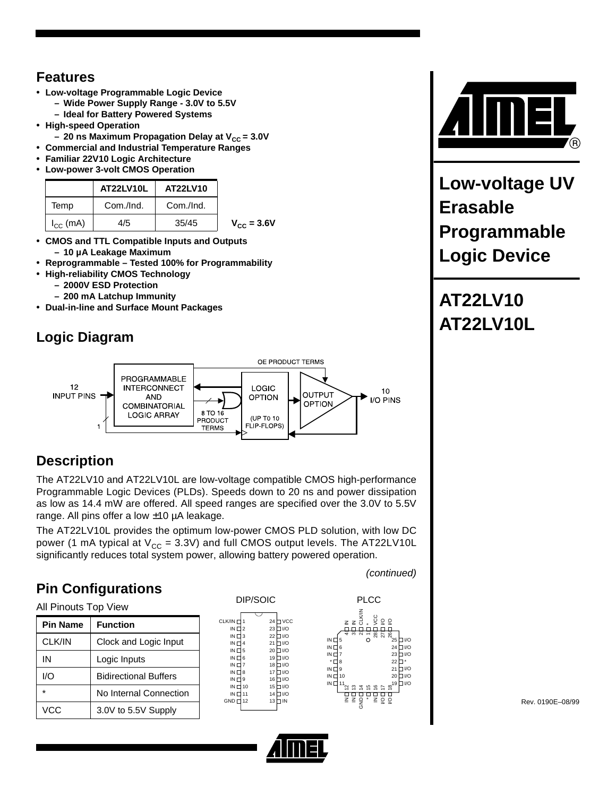## **Features**

- **Low-voltage Programmable Logic Device**
	- **Wide Power Supply Range 3.0V to 5.5V**
	- **Ideal for Battery Powered Systems**
- **High-speed Operation**
	- **20 ns Maximum Propagation Delay at V<sub>CC</sub> = 3.0V**
- **Commercial and Industrial Temperature Ranges**
- **Familiar 22V10 Logic Architecture**
- **Low-power 3-volt CMOS Operation**

|               | AT22LV10L | AT22LV10  |                        |
|---------------|-----------|-----------|------------------------|
| Temp          | Com./Ind. | Com./Ind. |                        |
| $I_{CC}$ (mA) | 4/5       | 35/45     | $V_{\text{CC}} = 3.6V$ |

- **CMOS and TTL Compatible Inputs and Outputs – 10 µA Leakage Maximum**
- **Reprogrammable Tested 100% for Programmability**
- **High-reliability CMOS Technology**
	- **– 2000V ESD Protection**
	- **– 200 mA Latchup Immunity**
- **Dual-in-line and Surface Mount Packages**

# **Logic Diagram**



# **Description**

The AT22LV10 and AT22LV10L are low-voltage compatible CMOS high-performance Programmable Logic Devices (PLDs). Speeds down to 20 ns and power dissipation as low as 14.4 mW are offered. All speed ranges are specified over the 3.0V to 5.5V range. All pins offer a low ±10 µA leakage.

The AT22LV10L provides the optimum low-power CMOS PLD solution, with low DC power (1 mA typical at  $V_{\text{CC}} = 3.3V$ ) and full CMOS output levels. The AT22LV10L significantly reduces total system power, allowing battery powered operation.

# **Pin Configurations**

(continued)







**Low-voltage UV Erasable Programmable Logic Device**

**AT22LV10 AT22LV10L**

Rev. 0190E–08/99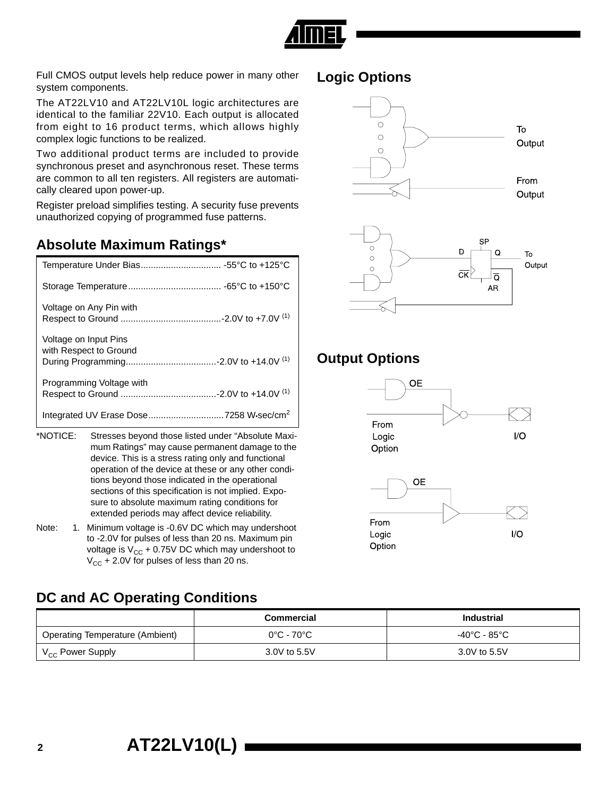

Full CMOS output levels help reduce power in many other system components.

The AT22LV10 and AT22LV10L logic architectures are identical to the familiar 22V10. Each output is allocated from eight to 16 product terms, which allows highly complex logic functions to be realized.

Two additional product terms are included to provide synchronous preset and asynchronous reset. These terms are common to all ten registers. All registers are automatically cleared upon power-up.

Register preload simplifies testing. A security fuse prevents unauthorized copying of programmed fuse patterns.

#### **Absolute Maximum Ratings\***

| Voltage on Any Pin with                         |
|-------------------------------------------------|
| Voltage on Input Pins<br>with Respect to Ground |
| Programming Voltage with                        |
|                                                 |

- \*NOTICE: Stresses beyond those listed under "Absolute Maximum Ratings" may cause permanent damage to the device. This is a stress rating only and functional operation of the device at these or any other conditions beyond those indicated in the operational sections of this specification is not implied. Exposure to absolute maximum rating conditions for extended periods may affect device reliability.
- Note: 1. Minimum voltage is -0.6V DC which may undershoot to -2.0V for pulses of less than 20 ns. Maximum pin voltage is  $V_{CC}$  + 0.75V DC which may undershoot to  $V_{CC}$  + 2.0V for pulses of less than 20 ns.

## **DC and AC Operating Conditions**

|                                        | <b>Commercial</b> | <b>Industrial</b> |
|----------------------------------------|-------------------|-------------------|
| <b>Operating Temperature (Ambient)</b> | 0°C - 70°C        | -40°C - 85°C      |
| V <sub>CC</sub> Power Supply           | 3.0V to 5.5V      | 3.0V to 5.5V      |

#### **Logic Options**



## **Output Options**



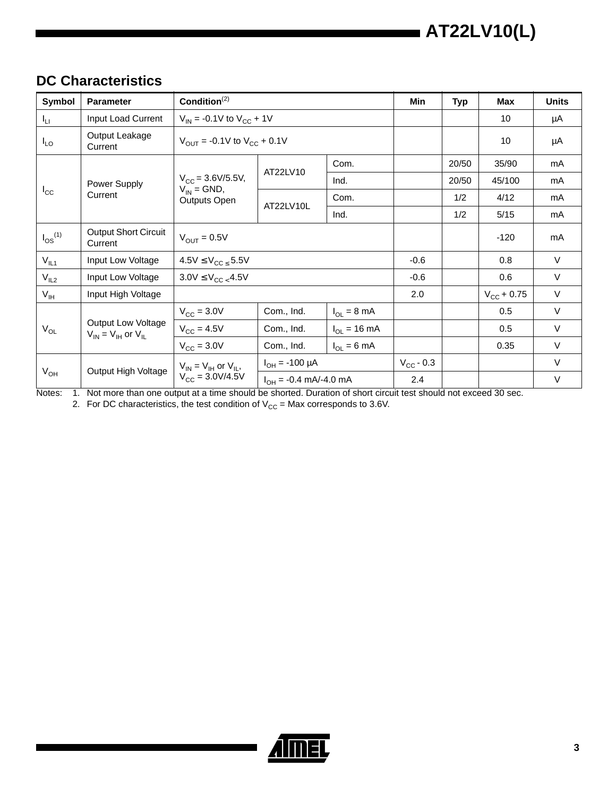## **DC Characteristics**

| Symbol          | <b>Parameter</b>                                                         | Condition <sup>(2)</sup>                                   |                                   |                         | Min                | <b>Typ</b> | <b>Max</b>          | <b>Units</b> |
|-----------------|--------------------------------------------------------------------------|------------------------------------------------------------|-----------------------------------|-------------------------|--------------------|------------|---------------------|--------------|
| $I_{LI}$        | Input Load Current                                                       |                                                            | $V_{IN}$ = -0.1V to $V_{CC}$ + 1V |                         |                    |            | 10                  | μA           |
| $I_{LO}$        | Output Leakage<br>Current                                                | $V_{\text{OUT}}$ = -0.1V to $V_{\text{CC}}$ + 0.1V         |                                   |                         |                    |            | 10                  | μA           |
|                 |                                                                          |                                                            |                                   | Com.                    |                    | 20/50      | 35/90               | mA           |
|                 | Power Supply                                                             | $V_{CC} = 3.6 V/5.5 V,$                                    | AT22LV10                          | Ind.                    |                    | 20/50      | 45/100              | mA           |
| $I_{\rm CC}$    | $V_{IN}$ = GND,<br>Current<br>Outputs Open                               |                                                            | Com.                              |                         | 1/2                | 4/12       | mA                  |              |
|                 |                                                                          |                                                            | AT22LV10L                         | Ind.                    |                    | 1/2        | 5/15                | mA           |
| $I_{OS}^{(1)}$  | <b>Output Short Circuit</b><br>Current                                   | $V_{OUIT} = 0.5V$                                          |                                   |                         |                    |            | $-120$              | mA           |
| $V_{IL1}$       | Input Low Voltage                                                        | $4.5V \leq V_{CC} < 5.5V$                                  |                                   |                         | $-0.6$             |            | 0.8                 | $\vee$       |
| $V_{IL2}$       | Input Low Voltage                                                        | $3.0 \text{V} \leq \text{V}_{\text{CC} \leq 4.5 \text{V}}$ |                                   |                         |                    |            | 0.6                 | $\vee$       |
| $V_{\text{IH}}$ | Input High Voltage                                                       |                                                            |                                   |                         | 2.0                |            | $V_{\rm CC}$ + 0.75 | $\vee$       |
|                 |                                                                          | $V_{\text{CC}} = 3.0V$                                     | Com., Ind.                        | $I_{OL} = 8 \text{ mA}$ |                    |            | 0.5                 | $\vee$       |
| $V_{OL}$        | Output Low Voltage<br>$V_{\text{IN}} = V_{\text{IH}}$ or $V_{\text{IL}}$ | $V_{CC}$ = 4.5V                                            | Com., Ind.                        | $I_{OL}$ = 16 mA        |                    |            | 0.5                 | $\vee$       |
|                 |                                                                          | $V_{\text{CC}} = 3.0V$                                     | Com., Ind.                        | $I_{OL} = 6 \text{ mA}$ |                    |            | 0.35                | $\vee$       |
|                 |                                                                          | $V_{IN} = V_{IH}$ or $V_{II}$ ,                            | $I_{OH} = -100 \mu A$             |                         | $V_{\rm CC}$ - 0.3 |            |                     | $\vee$       |
| $V_{OH}$        | Output High Voltage                                                      | $V_{CC} = 3.0 V/4.5 V$<br>$I_{OH} = -0.4$ mA/-4.0 mA       |                                   |                         | 2.4                |            |                     | V            |

Notes: 1. Not more than one output at a time should be shorted. Duration of short circuit test should not exceed 30 sec.

2. For DC characteristics, the test condition of  $\rm V_{CC}$  = Max corresponds to 3.6V.

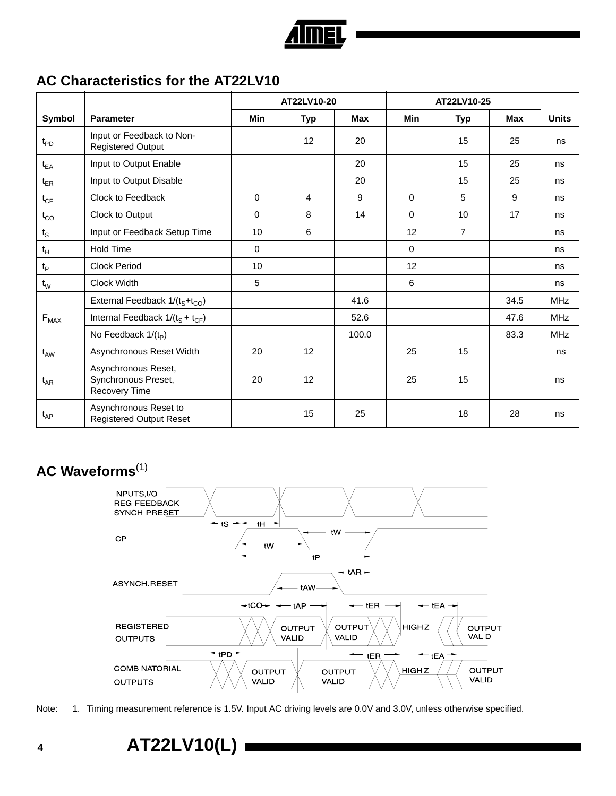

#### **AC Characteristics for the AT22LV10**

|                           |                                                             | AT22LV10-20 |            |            | AT22LV10-25 |                |            |              |
|---------------------------|-------------------------------------------------------------|-------------|------------|------------|-------------|----------------|------------|--------------|
| Symbol                    | <b>Parameter</b>                                            | Min         | <b>Typ</b> | <b>Max</b> | <b>Min</b>  | <b>Typ</b>     | <b>Max</b> | <b>Units</b> |
| $t_{PD}$                  | Input or Feedback to Non-<br><b>Registered Output</b>       |             | 12         | 20         |             | 15             | 25         | ns           |
| $t_{EA}$                  | Input to Output Enable                                      |             |            | 20         |             | 15             | 25         | ns           |
| $t_{ER}$                  | Input to Output Disable                                     |             |            | 20         |             | 15             | 25         | ns           |
| $t_{CF}$                  | Clock to Feedback                                           | 0           | 4          | 9          | $\Omega$    | 5              | 9          | ns           |
| $t_{CO}$                  | Clock to Output                                             | 0           | 8          | 14         | $\Omega$    | 10             | 17         | ns           |
| $\mathfrak{t}_\mathbb{S}$ | Input or Feedback Setup Time                                | 10          | 6          |            | 12          | $\overline{7}$ |            | ns           |
| $t_H$                     | <b>Hold Time</b>                                            | 0           |            |            | $\mathbf 0$ |                |            | ns           |
| $t_{\mathsf{P}}$          | <b>Clock Period</b>                                         | 10          |            |            | 12          |                |            | ns           |
| $t_{\rm W}$               | Clock Width                                                 | 5           |            |            | 6           |                |            | ns           |
|                           | External Feedback 1/(t <sub>S</sub> +t <sub>CO</sub> )      |             |            | 41.6       |             |                | 34.5       | <b>MHz</b>   |
| $F_{MAX}$                 | Internal Feedback $1/(t_S + t_{CF})$                        |             |            | 52.6       |             |                | 47.6       | <b>MHz</b>   |
|                           | No Feedback $1/(t_p)$                                       |             |            | 100.0      |             |                | 83.3       | <b>MHz</b>   |
| $t_{AW}$                  | Asynchronous Reset Width                                    | 20          | 12         |            | 25          | 15             |            | ns           |
| $t_{AR}$                  | Asynchronous Reset,<br>Synchronous Preset,<br>Recovery Time | 20          | 12         |            | 25          | 15             |            | ns           |
| $t_{AP}$                  | Asynchronous Reset to<br><b>Registered Output Reset</b>     |             | 15         | 25         |             | 18             | 28         | ns           |

## **AC Waveforms**(1)



Note: 1. Timing measurement reference is 1.5V. Input AC driving levels are 0.0V and 3.0V, unless otherwise specified.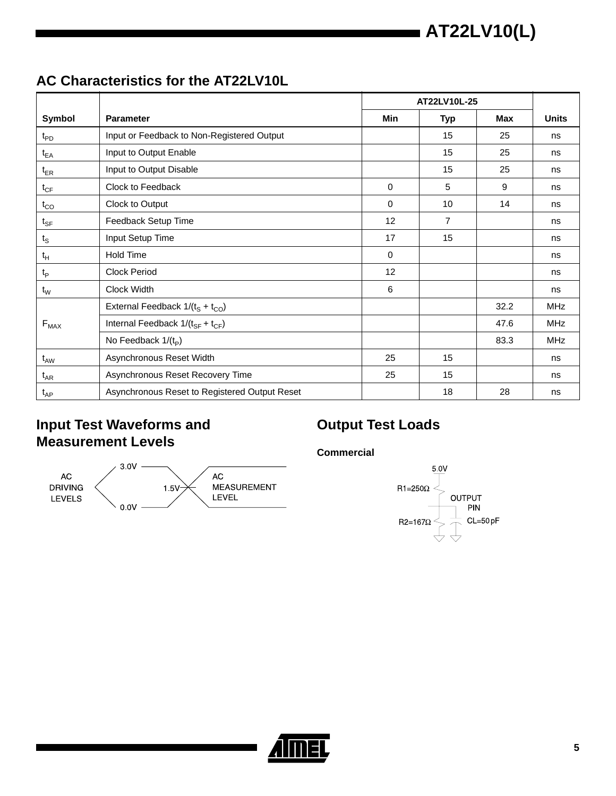## **AC Characteristics for the AT22LV10L**

|                   |                                               |             | AT22LV10L-25   |      |              |  |
|-------------------|-----------------------------------------------|-------------|----------------|------|--------------|--|
| Symbol            | <b>Parameter</b>                              | <b>Min</b>  | Typ            | Max  | <b>Units</b> |  |
| $t_{PD}$          | Input or Feedback to Non-Registered Output    |             | 15             | 25   | ns           |  |
| $t_{EA}$          | Input to Output Enable                        |             | 15             | 25   | ns           |  |
| $t_{ER}$          | Input to Output Disable                       |             | 15             | 25   | ns           |  |
| $t_{CF}$          | Clock to Feedback                             | 0           | 5              | 9    | ns           |  |
| $t_{CO}$          | Clock to Output                               | $\Omega$    | 10             | 14   | ns           |  |
| $t_{\mathsf{SF}}$ | Feedback Setup Time                           | 12          | $\overline{7}$ |      | ns           |  |
| $t_{\rm S}$       | Input Setup Time                              | 17          | 15             |      | ns           |  |
| $t_H$             | Hold Time                                     | $\mathbf 0$ |                |      | ns           |  |
| $t_{\mathsf{P}}$  | <b>Clock Period</b>                           | 12          |                |      | ns           |  |
| $t_{W}$           | Clock Width                                   | 6           |                |      | ns           |  |
|                   | External Feedback $1/(t_S + t_{CO})$          |             |                | 32.2 | <b>MHz</b>   |  |
| $F_{MAX}$         | Internal Feedback $1/(t_{SF} + t_{CF})$       |             |                | 47.6 | <b>MHz</b>   |  |
|                   | No Feedback $1/(t_p)$                         |             |                | 83.3 | <b>MHz</b>   |  |
| $t_{AW}$          | Asynchronous Reset Width                      | 25          | 15             |      | ns           |  |
| $t_{AR}$          | Asynchronous Reset Recovery Time              | 25          | 15             |      | ns           |  |
| $t_{AP}$          | Asynchronous Reset to Registered Output Reset |             | 18             | 28   | ns           |  |

## **Input Test Waveforms and Measurement Levels**



# **Output Test Loads**

**Commercial**



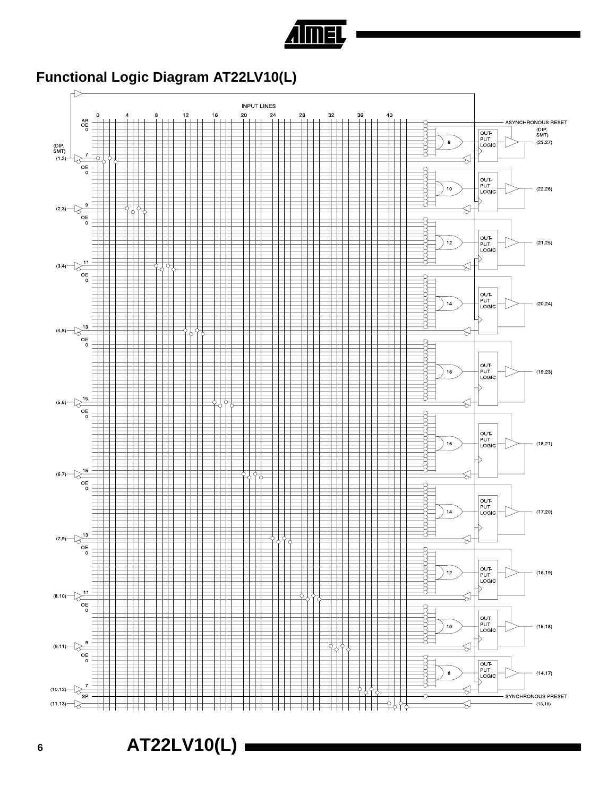

# **Functional Logic Diagram AT22LV10(L)**



**<sup>6</sup> AT22LV10(L)**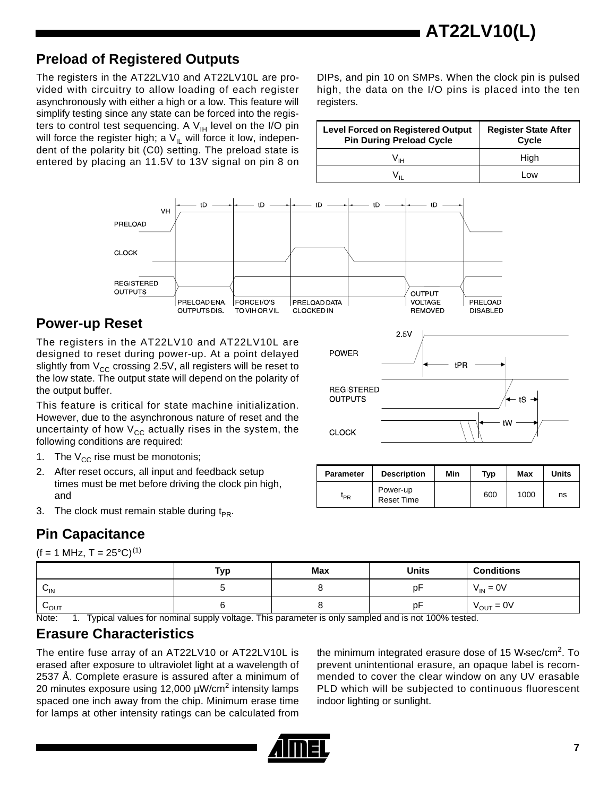## **Preload of Registered Outputs**

The registers in the AT22LV10 and AT22LV10L are provided with circuitry to allow loading of each register asynchronously with either a high or a low. This feature will simplify testing since any state can be forced into the registers to control test sequencing. A  $V_{H}$  level on the I/O pin will force the register high; a  $V_{II}$  will force it low, independent of the polarity bit (C0) setting. The preload state is entered by placing an 11.5V to 13V signal on pin 8 on DIPs, and pin 10 on SMPs. When the clock pin is pulsed high, the data on the I/O pins is placed into the ten registers.

| <b>Level Forced on Registered Output</b><br><b>Pin During Preload Cycle</b> | <b>Register State After</b><br>Cycle |
|-----------------------------------------------------------------------------|--------------------------------------|
| Vщ                                                                          | High                                 |
|                                                                             | Low                                  |



## **Power-up Reset**

The registers in the AT22LV10 and AT22LV10L are designed to reset during power-up. At a point delayed slightly from  $V_{CC}$  crossing 2.5V, all registers will be reset to the low state. The output state will depend on the polarity of the output buffer.

This feature is critical for state machine initialization. However, due to the asynchronous nature of reset and the uncertainty of how  $V_{CC}$  actually rises in the system, the following conditions are required:

- 1. The  $V_{CC}$  rise must be monotonis;
- 2. After reset occurs, all input and feedback setup times must be met before driving the clock pin high, and
- 3. The clock must remain stable during  $t_{PR}$ .

# **Pin Capacitance**

 $(f = 1 \text{ MHz}, T = 25^{\circ}\text{C})^{(1)}$ 

|                      | Typ | Max | <b>Units</b> | <b>Conditions</b>     |
|----------------------|-----|-----|--------------|-----------------------|
| ⌒<br>$V_{\text{IN}}$ |     |     | рF           | $V_{IN} = 0V$         |
| LOUT                 |     |     | рF           | $V_{\text{OUT}} = 0V$ |

Note: 1. Typical values for nominal supply voltage. This parameter is only sampled and is not 100% tested.

## **Erasure Characteristics**

The entire fuse array of an AT22LV10 or AT22LV10L is erased after exposure to ultraviolet light at a wavelength of 2537 Å. Complete erasure is assured after a minimum of 20 minutes exposure using 12,000 µW/cm<sup>2</sup> intensity lamps spaced one inch away from the chip. Minimum erase time for lamps at other intensity ratings can be calculated from

the minimum integrated erasure dose of 15 W-sec/cm<sup>2</sup>. To prevent unintentional erasure, an opaque label is recommended to cover the clear window on any UV erasable PLD which will be subjected to continuous fluorescent indoor lighting or sunlight.





| <b>Parameter</b>             | <b>Description</b>            | Min | Typ | Max  | Units |
|------------------------------|-------------------------------|-----|-----|------|-------|
| $\mathfrak{r}_{\textsf{PR}}$ | Power-up<br><b>Reset Time</b> |     | 600 | 1000 | ns    |

**7**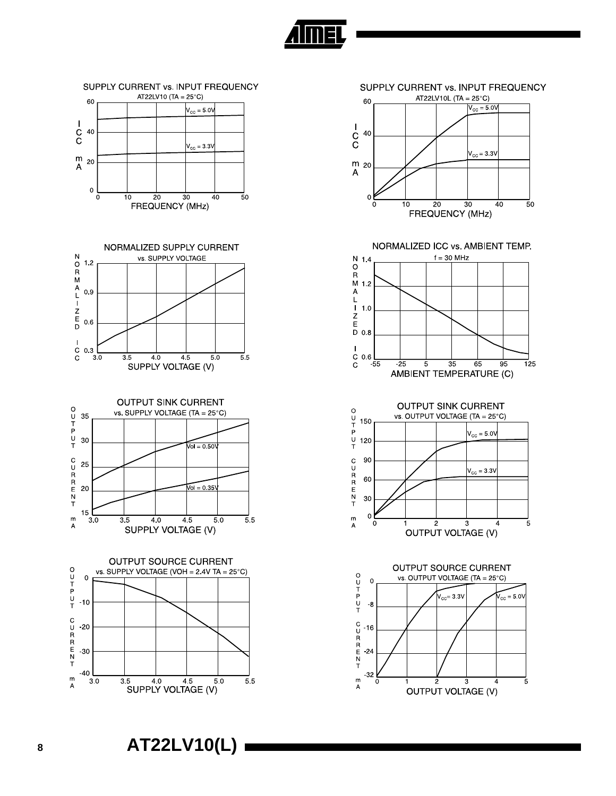











SUPPLY CURRENT vs. INPUT FREQUENCY

AT22LV10 (TA = 25°C)



**IMEL** 

NORMALIZED ICC vs. AMBIENT TEMP.





OUTPUT SOURCE CURRENT

vs. OUTPUT VOLTAGE (TA =  $25^{\circ}$ C)

 $V_{\rm CC} = 3.3V$ 

 $\overline{2}$ 

3

**OUTPUT VOLTAGE (V)** 

 $r_{\text{CC}} = 5.00$ 

-5

OUTPUT  $\mathbf 0$ 

CURRENT

 $m$ 

 $\overline{\mathsf{A}}$ 

 $-8$ 

 $-16$ 

 $-24$ 

-32

 $\overline{0}$ 









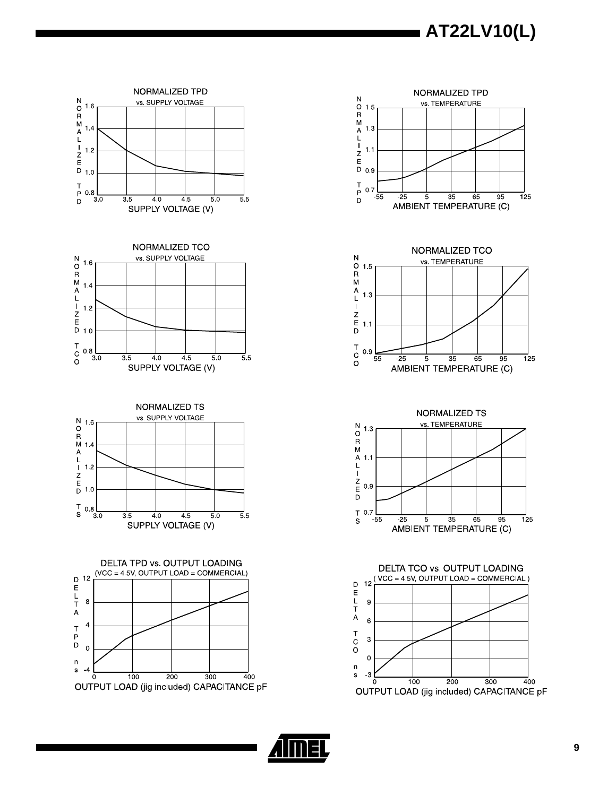**AT22LV10(L)** 



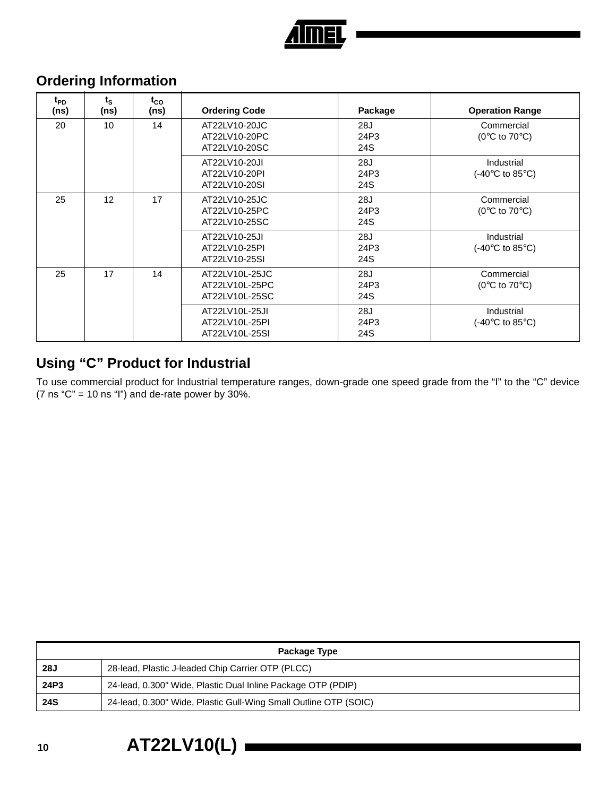

# **Ordering Information**

| t <sub>PD</sub><br>(ns) | $t_{\rm S}$<br>(ns) | $t_{CO}$<br>(ns) | <b>Ordering Code</b>                               | Package            | <b>Operation Range</b>                                    |
|-------------------------|---------------------|------------------|----------------------------------------------------|--------------------|-----------------------------------------------------------|
| 20                      | 10                  | 14               | AT22LV10-20JC<br>AT22LV10-20PC<br>AT22LV10-20SC    | 28J<br>24P3<br>24S | Commercial<br>(0 $\rm ^{\circ}C$ to 70 $\rm ^{\circ}C$ )  |
|                         |                     |                  | AT22LV10-20JI<br>AT22LV10-20PI<br>AT22LV10-20SI    | 28J<br>24P3<br>24S | <b>Industrial</b><br>$(-40^{\circ}$ C to 85 $^{\circ}$ C) |
| 25                      | 12                  | 17               | AT22LV10-25JC<br>AT22LV10-25PC<br>AT22LV10-25SC    | 28J<br>24P3<br>24S | Commercial<br>(0 $\degree$ C to 70 $\degree$ C)           |
|                         |                     |                  | AT22LV10-25JI<br>AT22LV10-25PI<br>AT22LV10-25SI    | 28J<br>24P3<br>24S | <b>Industrial</b><br>$(-40^{\circ}$ C to 85 $^{\circ}$ C) |
| 25                      | 17                  | 14               | AT22LV10L-25JC<br>AT22LV10L-25PC<br>AT22LV10L-25SC | 28J<br>24P3<br>24S | Commercial<br>(0 $\rm ^{\circ}C$ to 70 $\rm ^{\circ}C$ )  |
|                         |                     |                  | AT22LV10L-25JI<br>AT22LV10L-25PI<br>AT22LV10L-25SI | 28J<br>24P3<br>24S | <b>Industrial</b><br>$(-40^{\circ}$ C to 85 $^{\circ}$ C) |

## **Using "C" Product for Industrial**

To use commercial product for Industrial temperature ranges, down-grade one speed grade from the "I" to the "C" device (7 ns "C" = 10 ns "l") and de-rate power by 30%.

|            | Package Type                                                     |  |  |
|------------|------------------------------------------------------------------|--|--|
| 28J        | 28-lead, Plastic J-leaded Chip Carrier OTP (PLCC)                |  |  |
| 24P3       | 24-lead, 0.300" Wide, Plastic Dual Inline Package OTP (PDIP)     |  |  |
| <b>24S</b> | 24-lead, 0.300" Wide, Plastic Gull-Wing Small Outline OTP (SOIC) |  |  |

# **<sup>10</sup> AT22LV10(L)**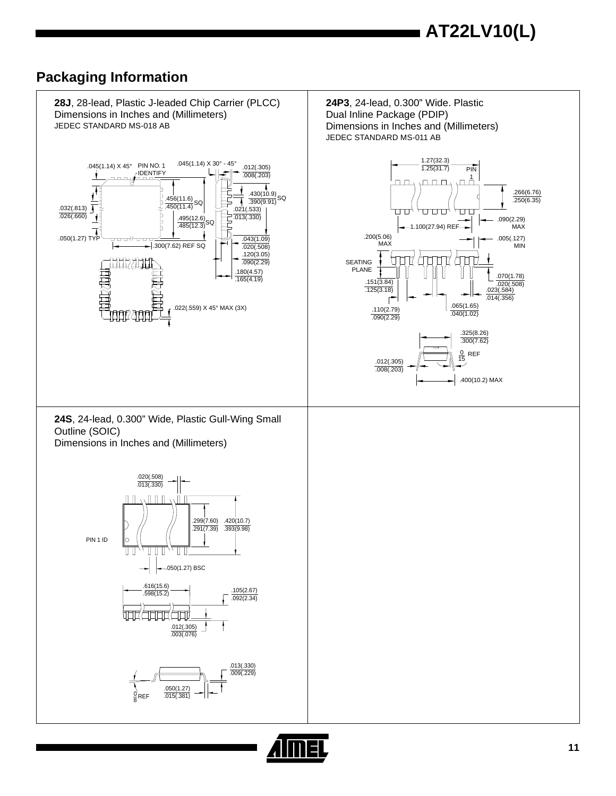## **Packaging Information**